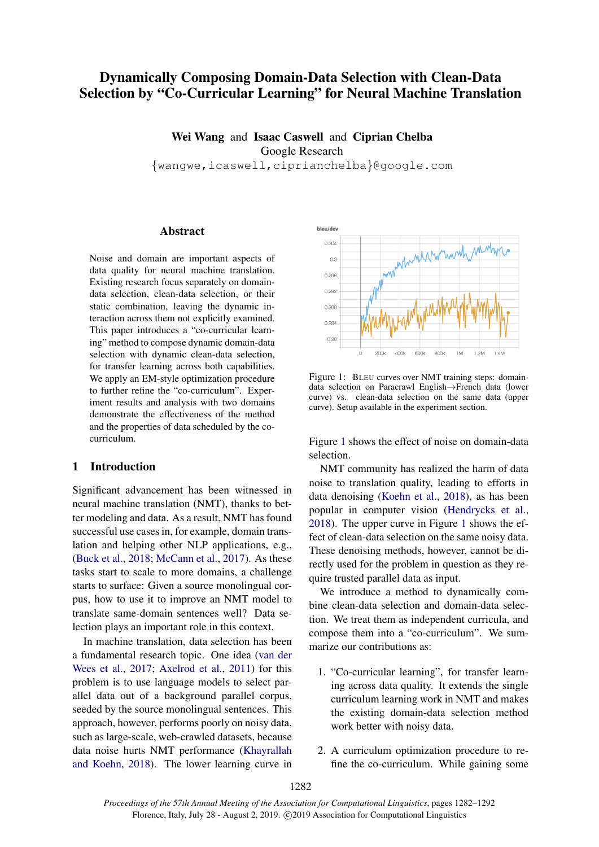# Dynamically Composing Domain-Data Selection with Clean-Data Selection by "Co-Curricular Learning" for Neural Machine Translation

Wei Wang and Isaac Caswell and Ciprian Chelba Google Research {wangwe,icaswell,ciprianchelba}@google.com

## Abstract

Noise and domain are important aspects of data quality for neural machine translation. Existing research focus separately on domaindata selection, clean-data selection, or their static combination, leaving the dynamic interaction across them not explicitly examined. This paper introduces a "co-curricular learning" method to compose dynamic domain-data selection with dynamic clean-data selection, for transfer learning across both capabilities. We apply an EM-style optimization procedure to further refine the "co-curriculum". Experiment results and analysis with two domains demonstrate the effectiveness of the method and the properties of data scheduled by the cocurriculum.

## 1 Introduction

Significant advancement has been witnessed in neural machine translation (NMT), thanks to better modeling and data. As a result, NMT has found successful use cases in, for example, domain translation and helping other NLP applications, e.g., [\(Buck et al.,](#page-9-0) [2018;](#page-9-0) [McCann et al.,](#page-9-1) [2017\)](#page-9-1). As these tasks start to scale to more domains, a challenge starts to surface: Given a source monolingual corpus, how to use it to improve an NMT model to translate same-domain sentences well? Data selection plays an important role in this context.

In machine translation, data selection has been a fundamental research topic. One idea [\(van der](#page-10-0) [Wees et al.,](#page-10-0) [2017;](#page-10-0) [Axelrod et al.,](#page-9-2) [2011\)](#page-9-2) for this problem is to use language models to select parallel data out of a background parallel corpus, seeded by the source monolingual sentences. This approach, however, performs poorly on noisy data, such as large-scale, web-crawled datasets, because data noise hurts NMT performance [\(Khayrallah](#page-9-3) [and Koehn,](#page-9-3) [2018\)](#page-9-3). The lower learning curve in

<span id="page-0-0"></span>

Figure 1: BLEU curves over NMT training steps: domaindata selection on Paracrawl English→French data (lower curve) vs. clean-data selection on the same data (upper curve). Setup available in the experiment section.

Figure [1](#page-0-0) shows the effect of noise on domain-data selection.

NMT community has realized the harm of data noise to translation quality, leading to efforts in data denoising [\(Koehn et al.,](#page-9-4) [2018\)](#page-9-4), as has been popular in computer vision [\(Hendrycks et al.,](#page-9-5) [2018\)](#page-9-5). The upper curve in Figure [1](#page-0-0) shows the effect of clean-data selection on the same noisy data. These denoising methods, however, cannot be directly used for the problem in question as they require trusted parallel data as input.

We introduce a method to dynamically combine clean-data selection and domain-data selection. We treat them as independent curricula, and compose them into a "co-curriculum". We summarize our contributions as:

- 1. "Co-curricular learning", for transfer learning across data quality. It extends the single curriculum learning work in NMT and makes the existing domain-data selection method work better with noisy data.
- 2. A curriculum optimization procedure to refine the co-curriculum. While gaining some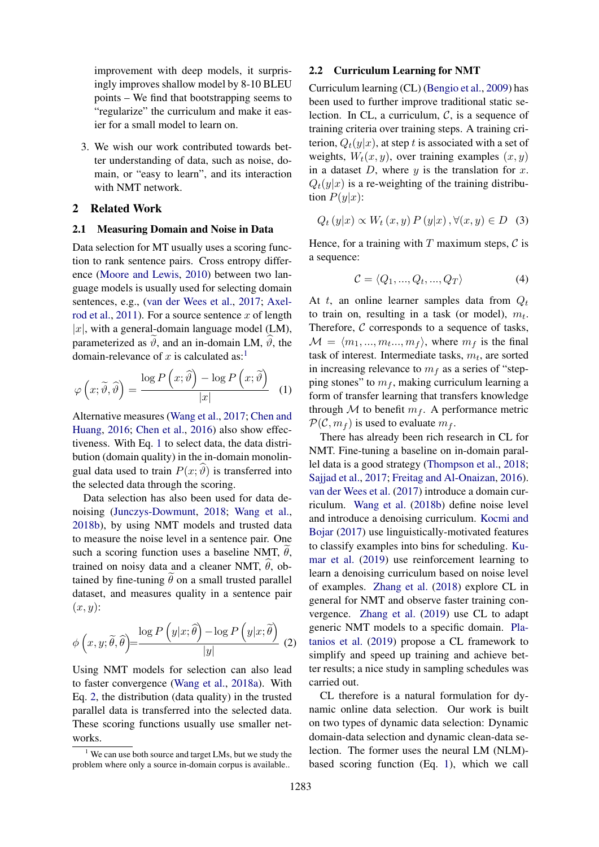improvement with deep models, it surprisingly improves shallow model by 8-10 BLEU points – We find that bootstrapping seems to "regularize" the curriculum and make it easier for a small model to learn on.

3. We wish our work contributed towards better understanding of data, such as noise, domain, or "easy to learn", and its interaction with NMT network.

### 2 Related Work

## 2.1 Measuring Domain and Noise in Data

Data selection for MT usually uses a scoring function to rank sentence pairs. Cross entropy difference [\(Moore and Lewis,](#page-9-6) [2010\)](#page-9-6) between two language models is usually used for selecting domain sentences, e.g., [\(van der Wees et al.,](#page-10-0) [2017;](#page-10-0) [Axel](#page-9-2)[rod et al.,](#page-9-2) [2011\)](#page-9-2). For a source sentence x of length |x|, with a general-domain language model (LM), parameterized as  $\vartheta$ , and an in-domain LM,  $\vartheta$ , the domain-relevance of x is calculated as:<sup>[1](#page-1-0)</sup>

<span id="page-1-1"></span>
$$
\varphi\left(x;\tilde{\vartheta},\hat{\vartheta}\right) = \frac{\log P\left(x;\hat{\vartheta}\right) - \log P\left(x;\tilde{\vartheta}\right)}{|x|} \quad (1)
$$

Alternative measures [\(Wang et al.,](#page-10-1) [2017;](#page-10-1) [Chen and](#page-9-7) [Huang,](#page-9-7) [2016;](#page-9-7) [Chen et al.,](#page-9-8) [2016\)](#page-9-8) also show effectiveness. With Eq. [1](#page-1-1) to select data, the data distribution (domain quality) in the in-domain monolingual data used to train  $P(x; \hat{\theta})$  is transferred into the selected data through the scoring.

Data selection has also been used for data denoising [\(Junczys-Dowmunt,](#page-9-9) [2018;](#page-9-9) [Wang et al.,](#page-10-2) [2018b\)](#page-10-2), by using NMT models and trusted data to measure the noise level in a sentence pair. One such a scoring function uses a baseline NMT,  $\theta$ , trained on noisy data and a cleaner NMT,  $\hat{\theta}$ , obtained by fine-tuning  $\theta$  on a small trusted parallel dataset, and measures quality in a sentence pair  $(x, y)$ :

<span id="page-1-2"></span>
$$
\phi\left(x, y; \tilde{\theta}, \hat{\theta}\right) = \frac{\log P\left(y|x; \hat{\theta}\right) - \log P\left(y|x; \tilde{\theta}\right)}{|y|} \tag{2}
$$

Using NMT models for selection can also lead to faster convergence [\(Wang et al.,](#page-10-3) [2018a\)](#page-10-3). With Eq. [2,](#page-1-2) the distribution (data quality) in the trusted parallel data is transferred into the selected data. These scoring functions usually use smaller networks.

## 2.2 Curriculum Learning for NMT

Curriculum learning (CL) [\(Bengio et al.,](#page-9-10) [2009\)](#page-9-10) has been used to further improve traditional static selection. In CL, a curriculum,  $C$ , is a sequence of training criteria over training steps. A training criterion,  $Q_t(y|x)$ , at step t is associated with a set of weights,  $W_t(x, y)$ , over training examples  $(x, y)$ in a dataset  $D$ , where  $y$  is the translation for  $x$ .  $Q_t(y|x)$  is a re-weighting of the training distribution  $P(y|x)$ :

<span id="page-1-3"></span>
$$
Q_t(y|x) \propto W_t(x, y) P(y|x), \forall (x, y) \in D \quad (3)
$$

Hence, for a training with  $T$  maximum steps,  $\mathcal C$  is a sequence:

<span id="page-1-4"></span>
$$
\mathcal{C} = \langle Q_1, ..., Q_t, ..., Q_T \rangle \tag{4}
$$

At t, an online learner samples data from  $Q_t$ to train on, resulting in a task (or model),  $m_t$ . Therefore,  $C$  corresponds to a sequence of tasks,  $\mathcal{M} = \langle m_1, ..., m_t, ..., m_f \rangle$ , where  $m_f$  is the final task of interest. Intermediate tasks,  $m_t$ , are sorted in increasing relevance to  $m_f$  as a series of "stepping stones" to  $m_f$ , making curriculum learning a form of transfer learning that transfers knowledge through  $M$  to benefit  $m_f$ . A performance metric  $\mathcal{P}(\mathcal{C}, m_f)$  is used to evaluate  $m_f$ .

There has already been rich research in CL for NMT. Fine-tuning a baseline on in-domain parallel data is a good strategy [\(Thompson et al.,](#page-10-4) [2018;](#page-10-4) [Sajjad et al.,](#page-9-11) [2017;](#page-9-11) [Freitag and Al-Onaizan,](#page-9-12) [2016\)](#page-9-12). [van der Wees et al.](#page-10-0) [\(2017\)](#page-10-0) introduce a domain curriculum. [Wang et al.](#page-10-2) [\(2018b\)](#page-10-2) define noise level and introduce a denoising curriculum. [Kocmi and](#page-9-13) [Bojar](#page-9-13) [\(2017\)](#page-9-13) use linguistically-motivated features to classify examples into bins for scheduling. [Ku](#page-9-14)[mar et al.](#page-9-14) [\(2019\)](#page-9-14) use reinforcement learning to learn a denoising curriculum based on noise level of examples. [Zhang et al.](#page-10-5) [\(2018\)](#page-10-5) explore CL in general for NMT and observe faster training convergence. [Zhang et al.](#page-10-6) [\(2019\)](#page-10-6) use CL to adapt generic NMT models to a specific domain. [Pla](#page-9-15)[tanios et al.](#page-9-15) [\(2019\)](#page-9-15) propose a CL framework to simplify and speed up training and achieve better results; a nice study in sampling schedules was carried out.

CL therefore is a natural formulation for dynamic online data selection. Our work is built on two types of dynamic data selection: Dynamic domain-data selection and dynamic clean-data selection. The former uses the neural LM (NLM) based scoring function (Eq. [1\)](#page-1-1), which we call

<span id="page-1-0"></span> $1$  We can use both source and target LMs, but we study the problem where only a source in-domain corpus is available..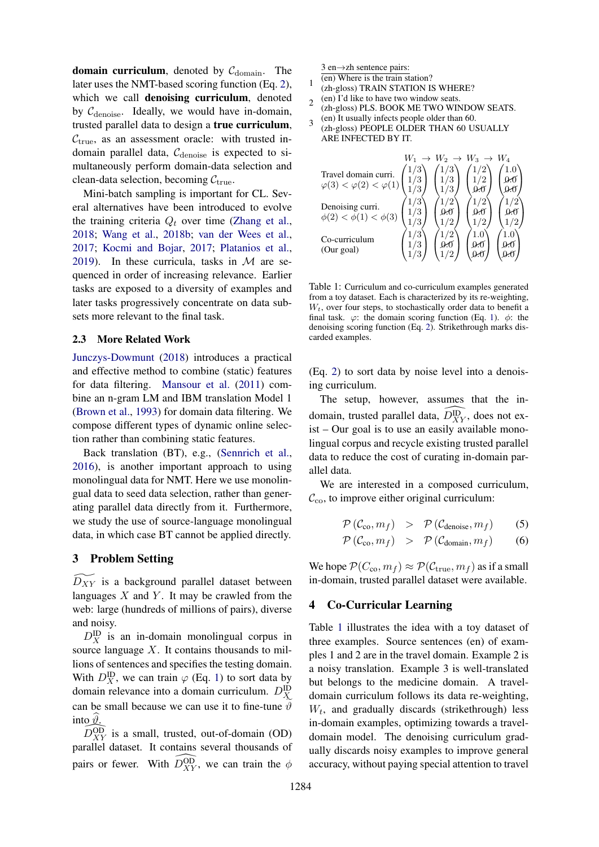domain curriculum, denoted by  $C_{domain}$ . The later uses the NMT-based scoring function (Eq. [2\)](#page-1-2), which we call **denoising curriculum**, denoted by  $C_{\text{denoise}}$ . Ideally, we would have in-domain, trusted parallel data to design a true curriculum,  $C_{true}$ , as an assessment oracle: with trusted indomain parallel data,  $C_{\text{denoise}}$  is expected to simultaneously perform domain-data selection and clean-data selection, becoming  $C_{true}$ .

Mini-batch sampling is important for CL. Several alternatives have been introduced to evolve the training criteria  $Q_t$  over time [\(Zhang et al.,](#page-10-5) [2018;](#page-10-5) [Wang et al.,](#page-10-2) [2018b;](#page-10-2) [van der Wees et al.,](#page-10-0) [2017;](#page-10-0) [Kocmi and Bojar,](#page-9-13) [2017;](#page-9-13) [Platanios et al.,](#page-9-15) [2019\)](#page-9-15). In these curricula, tasks in  $M$  are sequenced in order of increasing relevance. Earlier tasks are exposed to a diversity of examples and later tasks progressively concentrate on data subsets more relevant to the final task.

## 2.3 More Related Work

[Junczys-Dowmunt](#page-9-9) [\(2018\)](#page-9-9) introduces a practical and effective method to combine (static) features for data filtering. [Mansour et al.](#page-9-16) [\(2011\)](#page-9-16) combine an n-gram LM and IBM translation Model 1 [\(Brown et al.,](#page-9-17) [1993\)](#page-9-17) for domain data filtering. We compose different types of dynamic online selection rather than combining static features.

Back translation (BT), e.g., [\(Sennrich et al.,](#page-9-18) [2016\)](#page-9-18), is another important approach to using monolingual data for NMT. Here we use monolingual data to seed data selection, rather than generating parallel data directly from it. Furthermore, we study the use of source-language monolingual data, in which case BT cannot be applied directly.

### <span id="page-2-2"></span>3 Problem Setting

 $D_{XY}$  is a background parallel dataset between languages  $X$  and  $Y$ . It may be crawled from the web: large (hundreds of millions of pairs), diverse and noisy.

 $D_X^{\text{ID}}$  is an in-domain monolingual corpus in source language  $X$ . It contains thousands to millions of sentences and specifies the testing domain. With  $D_X^{\text{ID}}$ , we can train  $\varphi$  (Eq. [1\)](#page-1-1) to sort data by domain relevance into a domain curriculum.  $D_X^{\text{ID}}$ can be small because we can use it to fine-tune  $\vartheta$ into  $\vartheta$ .

 $D_{XY}^{OD}$  is a small, trusted, out-of-domain (OD) parallel dataset. It contains several thousands of pairs or fewer. With  $\widehat{D_{XY}^{OD}}$ , we can train the  $\phi$ 

<span id="page-2-0"></span>3 en→zh sentence pairs:

1

- (en) Where is the train station?
- (zh-gloss) TRAIN STATION IS WHERE?
- $\overline{\mathcal{L}}$ (en) I'd like to have two window seats. (zh-gloss) PLS. BOOK ME TWO WINDOW SEATS.
- 3 (en) It usually infects people older than 60.
- (zh-gloss) PEOPLE OLDER THAN 60 USUALLY ARE INFECTED BY IT.

| Travel domain curri.<br>$\varphi(3) < \varphi(2) < \varphi(1)$ |     | $W_2 \rightarrow W_3 \rightarrow W_4$ |  |
|----------------------------------------------------------------|-----|---------------------------------------|--|
| Denoising curri.<br>$\phi(2) < \phi(1) < \phi(3)$              | 1/3 |                                       |  |
| Co-curriculum<br>(Our goal)                                    |     |                                       |  |

Table 1: Curriculum and co-curriculum examples generated from a toy dataset. Each is characterized by its re-weighting,  $W_t$ , over four steps, to stochastically order data to benefit a final task.  $\varphi$ : the domain scoring function (Eq. [1\)](#page-1-1).  $\phi$ : the denoising scoring function (Eq. [2\)](#page-1-2). Strikethrough marks discarded examples.

(Eq. [2\)](#page-1-2) to sort data by noise level into a denoising curriculum.

The setup, however, assumes that the indomain, trusted parallel data,  $\widehat{D_{XY}^{ID}}$ , does not exist – Our goal is to use an easily available monolingual corpus and recycle existing trusted parallel data to reduce the cost of curating in-domain parallel data.

We are interested in a composed curriculum,  $\mathcal{C}_{\text{co}}$ , to improve either original curriculum:

$$
\mathcal{P}\left(\mathcal{C}_{\text{co}}, m_f\right) \quad > \quad \mathcal{P}\left(\mathcal{C}_{\text{denoise}}, m_f\right) \tag{5}
$$

$$
\mathcal{P}\left(\mathcal{C}_{\text{co}}, m_f\right) \quad > \quad \mathcal{P}\left(\mathcal{C}_{\text{domain}}, m_f\right) \tag{6}
$$

We hope  $\mathcal{P}(C_{\rm co}, m_f) \approx \mathcal{P}(\mathcal{C}_{\rm true}, m_f)$  as if a small in-domain, trusted parallel dataset were available.

### <span id="page-2-1"></span>4 Co-Curricular Learning

Table [1](#page-2-0) illustrates the idea with a toy dataset of three examples. Source sentences (en) of examples 1 and 2 are in the travel domain. Example 2 is a noisy translation. Example 3 is well-translated but belongs to the medicine domain. A traveldomain curriculum follows its data re-weighting,  $W_t$ , and gradually discards (strikethrough) less in-domain examples, optimizing towards a traveldomain model. The denoising curriculum gradually discards noisy examples to improve general accuracy, without paying special attention to travel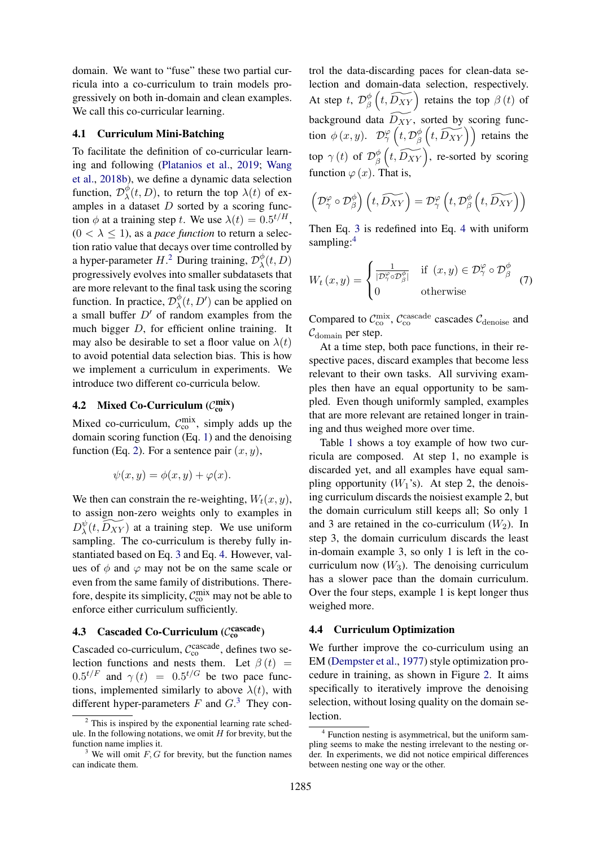domain. We want to "fuse" these two partial curricula into a co-curriculum to train models progressively on both in-domain and clean examples. We call this co-curricular learning.

#### 4.1 Curriculum Mini-Batching

To facilitate the definition of co-curricular learning and following [\(Platanios et al.,](#page-9-15) [2019;](#page-9-15) [Wang](#page-10-2) [et al.,](#page-10-2) [2018b\)](#page-10-2), we define a dynamic data selection function,  $\mathcal{D}_{\lambda}^{\phi}$  $\chi^{\varphi}(t, D)$ , to return the top  $\lambda(t)$  of examples in a dataset  $D$  sorted by a scoring function  $\phi$  at a training step t. We use  $\lambda(t) = 0.5^{t/H}$ ,  $(0 < \lambda \leq 1)$ , as a *pace function* to return a selection ratio value that decays over time controlled by a hyper-parameter  $H^2$  $H^2$ . During training,  $\mathcal{D}^{\phi}_{\lambda}$  $\chi^\varphi(t,D)$ progressively evolves into smaller subdatasets that are more relevant to the final task using the scoring function. In practice,  $\mathcal{D}_{\lambda}^{\phi}$  $\phi_{\lambda}^{\phi}(t, D')$  can be applied on a small buffer  $D'$  of random examples from the much bigger D, for efficient online training. It may also be desirable to set a floor value on  $\lambda(t)$ to avoid potential data selection bias. This is how we implement a curriculum in experiments. We introduce two different co-curricula below.

# **4.2** Mixed Co-Curriculum  $(\mathcal{C}_{\text{co}}^{\text{mix}})$

Mixed co-curriculum,  $C_{\text{co}}^{\text{mix}}$ , simply adds up the domain scoring function (Eq. [1\)](#page-1-1) and the denoising function (Eq. [2\)](#page-1-2). For a sentence pair  $(x, y)$ ,

$$
\psi(x, y) = \phi(x, y) + \varphi(x).
$$

We then can constrain the re-weighting,  $W_t(x, y)$ , to assign non-zero weights only to examples in  $D_\lambda^\psi$  $\sqrt[\psi]{t}$ ,  $\widetilde{D_{XY}}$ ) at a training step. We use uniform sampling. The co-curriculum is thereby fully instantiated based on Eq. [3](#page-1-3) and Eq. [4.](#page-1-4) However, values of  $\phi$  and  $\varphi$  may not be on the same scale or even from the same family of distributions. Therefore, despite its simplicity,  $C_{\rm co}^{\rm mix}$  may not be able to enforce either curriculum sufficiently.

# **4.3** Cascaded Co-Curriculum ( $\mathcal{C}_{co}^{cascale}$ )

Cascaded co-curriculum,  $C_{\rm co}^{\rm cascade}$ , defines two selection functions and nests them. Let  $\beta(t)$  =  $0.5^{t/F}$  and  $\gamma(t) = 0.5^{t/G}$  be two pace functions, implemented similarly to above  $\lambda(t)$ , with different hyper-parameters  $F$  and  $G<sup>3</sup>$  $G<sup>3</sup>$  $G<sup>3</sup>$ . They con-

trol the data-discarding paces for clean-data selection and domain-data selection, respectively. At step t,  $\mathcal{D}_{\beta}^{\phi}$  $\frac{\phi}{\beta}\left(t, \widetilde{D_{XY}}\right)$  retains the top  $\beta(t)$  of background data  $\widetilde{D_{XY}}$ , sorted by scoring function  $\phi(x, y)$ .  $\mathcal{D}_\gamma^{\varphi}\left(t, \mathcal{D}_\beta^{\phi}\right)$  $\mathcal{L}_{\beta}^{\phi}\left(t, \widetilde{D_{XY}}\right)$  retains the top  $\gamma(t)$  of  $\mathcal{D}_{\beta}^{\phi}$  $\frac{\phi}{\beta}\left(t, \widetilde{D_{XY}}\right)$ , re-sorted by scoring function  $\varphi(x)$ . That is,

$$
\left(\mathcal{D}_{\gamma}^{\varphi}\circ\mathcal{D}_{\beta}^{\phi}\right)\left(t,\widetilde{D_{XY}}\right)=\mathcal{D}_{\gamma}^{\varphi}\left(t,\mathcal{D}_{\beta}^{\phi}\left(t,\widetilde{D_{XY}}\right)\right)
$$

Then Eq. [3](#page-1-3) is redefined into Eq. [4](#page-1-4) with uniform sampling:<sup>[4](#page-3-2)</sup>

$$
W_t(x,y) = \begin{cases} \frac{1}{|\mathcal{D}^{\varphi}_{\gamma} \circ \mathcal{D}^{\phi}_{\beta}|} & \text{if } (x,y) \in \mathcal{D}^{\varphi}_{\gamma} \circ \mathcal{D}^{\phi}_{\beta} \\ 0 & \text{otherwise} \end{cases}
$$
 (7)

Compared to  $C_{\text{co}}^{\text{mix}}, C_{\text{co}}^{\text{cascade}}$  cascades  $C_{\text{denoise}}$  and  $C_{domain}$  per step.

At a time step, both pace functions, in their respective paces, discard examples that become less relevant to their own tasks. All surviving examples then have an equal opportunity to be sampled. Even though uniformly sampled, examples that are more relevant are retained longer in training and thus weighed more over time.

Table [1](#page-2-0) shows a toy example of how two curricula are composed. At step 1, no example is discarded yet, and all examples have equal sampling opportunity  $(W_1$ 's). At step 2, the denoising curriculum discards the noisiest example 2, but the domain curriculum still keeps all; So only 1 and 3 are retained in the co-curriculum  $(W_2)$ . In step 3, the domain curriculum discards the least in-domain example 3, so only 1 is left in the cocurriculum now  $(W_3)$ . The denoising curriculum has a slower pace than the domain curriculum. Over the four steps, example 1 is kept longer thus weighed more.

#### 4.4 Curriculum Optimization

We further improve the co-curriculum using an EM [\(Dempster et al.,](#page-9-19) [1977\)](#page-9-19) style optimization procedure in training, as shown in Figure [2.](#page-4-0) It aims specifically to iteratively improve the denoising selection, without losing quality on the domain selection.

<span id="page-3-0"></span> $2$  This is inspired by the exponential learning rate schedule. In the following notations, we omit  $H$  for brevity, but the function name implies it.

<span id="page-3-1"></span><sup>&</sup>lt;sup>3</sup> We will omit  $F$ ,  $G$  for brevity, but the function names can indicate them.

<span id="page-3-2"></span><sup>4</sup> Function nesting is asymmetrical, but the uniform sampling seems to make the nesting irrelevant to the nesting order. In experiments, we did not notice empirical differences between nesting one way or the other.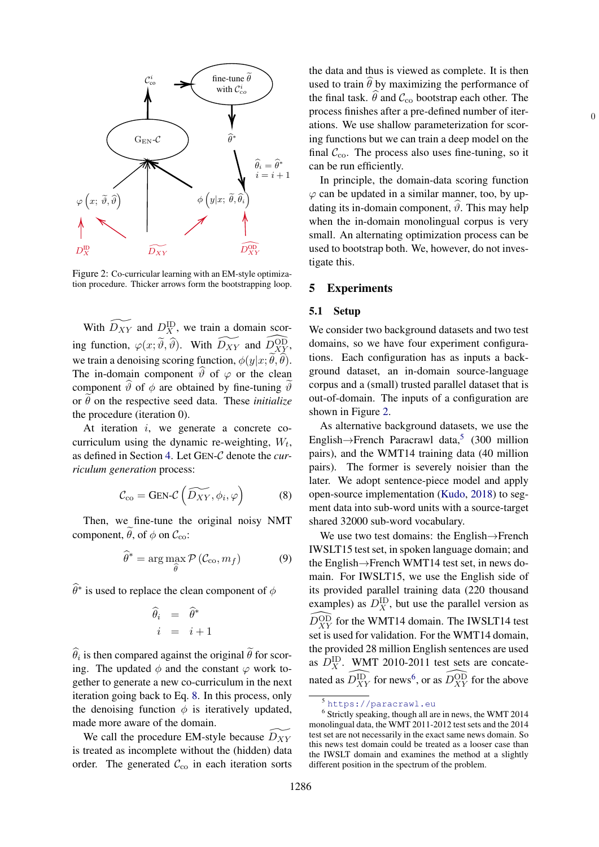<span id="page-4-0"></span>

Figure 2: Co-curricular learning with an EM-style optimization procedure. Thicker arrows form the bootstrapping loop.

With  $\widetilde{D_{XY}}$  and  $D_X^{\text{ID}}$ , we train a domain scoring function,  $\varphi(x; \tilde{\vartheta}, \hat{\vartheta})$ . With  $\widetilde{D_{XY}}$  and  $\widehat{D_{XY}^{OD}}$ , we train a denoising scoring function,  $\phi(y|x; \tilde{\theta}, \hat{\theta})$ . The in-domain component  $\vartheta$  of  $\varphi$  or the clean component  $\hat{\vartheta}$  of  $\phi$  are obtained by fine-tuning  $\hat{\vartheta}$ or  $\theta$  on the respective seed data. These *initialize* the procedure (iteration 0).

At iteration  $i$ , we generate a concrete cocurriculum using the dynamic re-weighting,  $W_t$ , as defined in Section [4.](#page-2-1) Let GEN-C denote the *curriculum generation* process:

<span id="page-4-1"></span>
$$
C_{\rm co} = \text{GEN-}\mathcal{C}\left(\widetilde{D_{XY}}, \phi_i, \varphi\right) \tag{8}
$$

Then, we fine-tune the original noisy NMT component,  $\tilde{\theta}$ , of  $\phi$  on  $\mathcal{C}_{\text{co}}$ :

$$
\widehat{\theta}^* = \arg\max_{\widehat{\theta}} \mathcal{P}\left(\mathcal{C}_{\text{co}}, m_f\right) \tag{9}
$$

 $\widehat{\theta}^*$  is used to replace the clean component of  $\phi$ 

$$
\begin{array}{rcl} \widehat{\theta}_i & = & \widehat{\theta}^* \\ i & = & i+1 \end{array}
$$

 $\theta_i$  is then compared against the original  $\theta$  for scoring. The updated  $\phi$  and the constant  $\varphi$  work together to generate a new co-curriculum in the next iteration going back to Eq. [8.](#page-4-1) In this process, only the denoising function  $\phi$  is iteratively updated, made more aware of the domain.

We call the procedure EM-style because  $D_{XY}$ is treated as incomplete without the (hidden) data order. The generated  $\mathcal{C}_{\text{co}}$  in each iteration sorts the data and thus is viewed as complete. It is then used to train  $\widehat{\theta}$  by maximizing the performance of the final task.  $\hat{\theta}$  and  $\mathcal{C}_{\text{co}}$  bootstrap each other. The process finishes after a pre-defined number of iterations. We use shallow parameterization for scoring functions but we can train a deep model on the final  $C_{\text{co}}$ . The process also uses fine-tuning, so it can be run efficiently.

0

In principle, the domain-data scoring function  $\varphi$  can be updated in a similar manner, too, by updating its in-domain component,  $\hat{\theta}$ . This may help when the in-domain monolingual corpus is very small. An alternating optimization process can be used to bootstrap both. We, however, do not investigate this.

#### 5 Experiments

#### <span id="page-4-4"></span>5.1 Setup

We consider two background datasets and two test domains, so we have four experiment configurations. Each configuration has as inputs a background dataset, an in-domain source-language corpus and a (small) trusted parallel dataset that is out-of-domain. The inputs of a configuration are shown in Figure [2.](#page-4-0)

As alternative background datasets, we use the English $\rightarrow$ French Paracrawl data,<sup>[5](#page-4-2)</sup> (300 million pairs), and the WMT14 training data (40 million pairs). The former is severely noisier than the later. We adopt sentence-piece model and apply open-source implementation [\(Kudo,](#page-9-20) [2018\)](#page-9-20) to segment data into sub-word units with a source-target shared 32000 sub-word vocabulary.

We use two test domains: the English→French IWSLT15 test set, in spoken language domain; and the English→French WMT14 test set, in news domain. For IWSLT15, we use the English side of its provided parallel training data (220 thousand examples) as  $D_X^{\text{ID}}$ , but use the parallel version as  $\widehat{D_{XY}^{OD}}$  for the WMT14 domain. The IWSLT14 test set is used for validation. For the WMT14 domain, the provided 28 million English sentences are used as  $D_X^{\text{ID}}$ . WMT 2010-2011 test sets are concatenated as  $\widehat{D_{XY}^{ID}}$  for news<sup>[6](#page-4-3)</sup>, or as  $\widehat{D_{XY}^{OD}}$  for the above

<span id="page-4-3"></span><span id="page-4-2"></span><sup>5</sup> <https://paracrawl.eu>

<sup>&</sup>lt;sup>6</sup> Strictly speaking, though all are in news, the WMT 2014 monolingual data, the WMT 2011-2012 test sets and the 2014 test set are not necessarily in the exact same news domain. So this news test domain could be treated as a looser case than the IWSLT domain and examines the method at a slightly different position in the spectrum of the problem.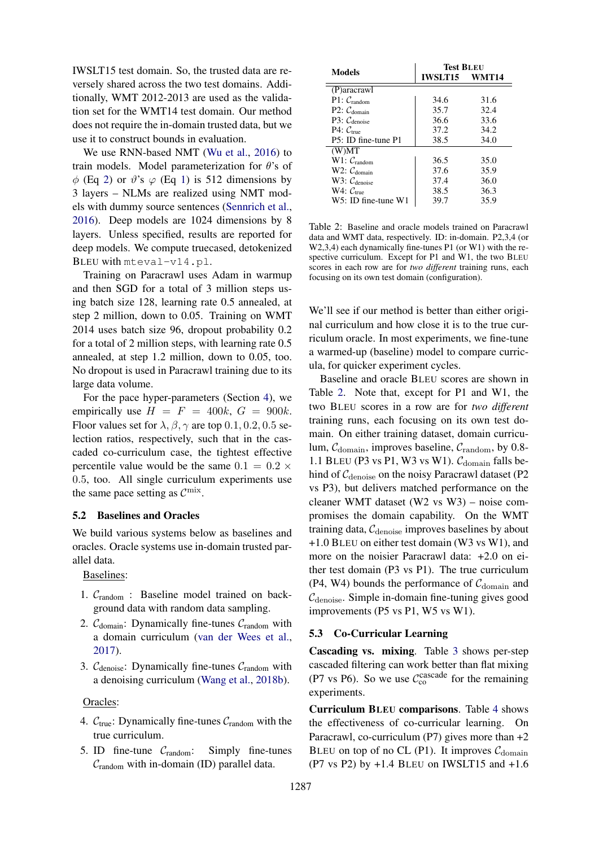IWSLT15 test domain. So, the trusted data are reversely shared across the two test domains. Additionally, WMT 2012-2013 are used as the validation set for the WMT14 test domain. Our method does not require the in-domain trusted data, but we use it to construct bounds in evaluation.

We use RNN-based NMT [\(Wu et al.,](#page-10-7) [2016\)](#page-10-7) to train models. Model parameterization for  $\theta$ 's of  $\phi$  (Eq [2\)](#page-1-2) or  $\vartheta$ 's  $\varphi$  (Eq [1\)](#page-1-1) is 512 dimensions by 3 layers – NLMs are realized using NMT models with dummy source sentences [\(Sennrich et al.,](#page-9-18) [2016\)](#page-9-18). Deep models are 1024 dimensions by 8 layers. Unless specified, results are reported for deep models. We compute truecased, detokenized BLEU with mteval-v14.pl.

Training on Paracrawl uses Adam in warmup and then SGD for a total of 3 million steps using batch size 128, learning rate 0.5 annealed, at step 2 million, down to 0.05. Training on WMT 2014 uses batch size 96, dropout probability 0.2 for a total of 2 million steps, with learning rate 0.5 annealed, at step 1.2 million, down to 0.05, too. No dropout is used in Paracrawl training due to its large data volume.

For the pace hyper-parameters (Section [4\)](#page-2-1), we empirically use  $H = F = 400k$ ,  $G = 900k$ . Floor values set for  $\lambda$ ,  $\beta$ ,  $\gamma$  are top 0.1, 0.2, 0.5 selection ratios, respectively, such that in the cascaded co-curriculum case, the tightest effective percentile value would be the same  $0.1 = 0.2 \times$ 0.5, too. All single curriculum experiments use the same pace setting as  $\mathcal{C}^{\text{mix}}$ .

## 5.2 Baselines and Oracles

We build various systems below as baselines and oracles. Oracle systems use in-domain trusted parallel data.

Baselines:

- 1.  $C_{\text{random}}$ : Baseline model trained on background data with random data sampling.
- 2.  $C_{domain}$ : Dynamically fine-tunes  $C_{random}$  with a domain curriculum [\(van der Wees et al.,](#page-10-0) [2017\)](#page-10-0).
- 3.  $C_{\text{denoise}}$ : Dynamically fine-tunes  $C_{\text{random}}$  with a denoising curriculum [\(Wang et al.,](#page-10-2) [2018b\)](#page-10-2).

#### Oracles:

- 4.  $C_{true}$ : Dynamically fine-tunes  $C_{random}$  with the true curriculum.
- 5. ID fine-tune  $C_{\text{random}}$ : Simply fine-tunes  $C_{\text{random}}$  with in-domain (ID) parallel data.

<span id="page-5-0"></span>

| Models                   | <b>Test BLEU</b> |      |  |
|--------------------------|------------------|------|--|
|                          | IWSLT15 WMT14    |      |  |
| (P)aracrawl              |                  |      |  |
| $P1: C_{random}$         | 34.6             | 31.6 |  |
| P2: $C_{domain}$         | 35.7             | 32.4 |  |
| P3: $C_{\text{denoise}}$ | 36.6             | 33.6 |  |
| $P4: C_{true}$           | 37.2             | 34.2 |  |
| P5: ID fine-tune P1      | 38.5             | 34.0 |  |
| (W)MT                    |                  |      |  |
| W1: $C_{\text{random}}$  | 36.5             | 35.0 |  |
| W2: $C_{domain}$         | 37.6             | 35.9 |  |
| W3: $C_{\text{denoise}}$ | 37.4             | 36.0 |  |
| $W4:$ $C_{true}$         | 38.5             | 36.3 |  |
| W5: ID fine-tune W1      | 39.7             | 35.9 |  |

Table 2: Baseline and oracle models trained on Paracrawl data and WMT data, respectively. ID: in-domain. P2,3,4 (or W2,3,4) each dynamically fine-tunes P1 (or W1) with the respective curriculum. Except for P1 and W1, the two BLEU scores in each row are for *two different* training runs, each focusing on its own test domain (configuration).

We'll see if our method is better than either original curriculum and how close it is to the true curriculum oracle. In most experiments, we fine-tune a warmed-up (baseline) model to compare curricula, for quicker experiment cycles.

Baseline and oracle BLEU scores are shown in Table [2.](#page-5-0) Note that, except for P1 and W1, the two BLEU scores in a row are for *two different* training runs, each focusing on its own test domain. On either training dataset, domain curriculum,  $C_{domain}$ , improves baseline,  $C_{random}$ , by 0.8-1.1 BLEU (P3 vs P1, W3 vs W1).  $C_{domain}$  falls behind of  $C_{\text{denoise}}$  on the noisy Paracrawl dataset (P2 vs P3), but delivers matched performance on the cleaner WMT dataset (W2 vs W3) – noise compromises the domain capability. On the WMT training data,  $C_{\text{denoise}}$  improves baselines by about +1.0 BLEU on either test domain (W3 vs W1), and more on the noisier Paracrawl data: +2.0 on either test domain (P3 vs P1). The true curriculum (P4, W4) bounds the performance of  $C_{domain}$  and  $C_{\text{denoise}}$ . Simple in-domain fine-tuning gives good improvements (P5 vs P1, W5 vs W1).

#### 5.3 Co-Curricular Learning

Cascading vs. mixing. Table [3](#page-6-0) shows per-step cascaded filtering can work better than flat mixing (P7 vs P6). So we use  $C_{\text{co}}^{\text{cascade}}$  for the remaining experiments.

Curriculum BLEU comparisons. Table [4](#page-6-1) shows the effectiveness of co-curricular learning. On Paracrawl, co-curriculum (P7) gives more than  $+2$ BLEU on top of no CL (P1). It improves  $C_{domain}$  $(P7 \text{ vs } P2)$  by  $+1.4$  BLEU on IWSLT15 and  $+1.6$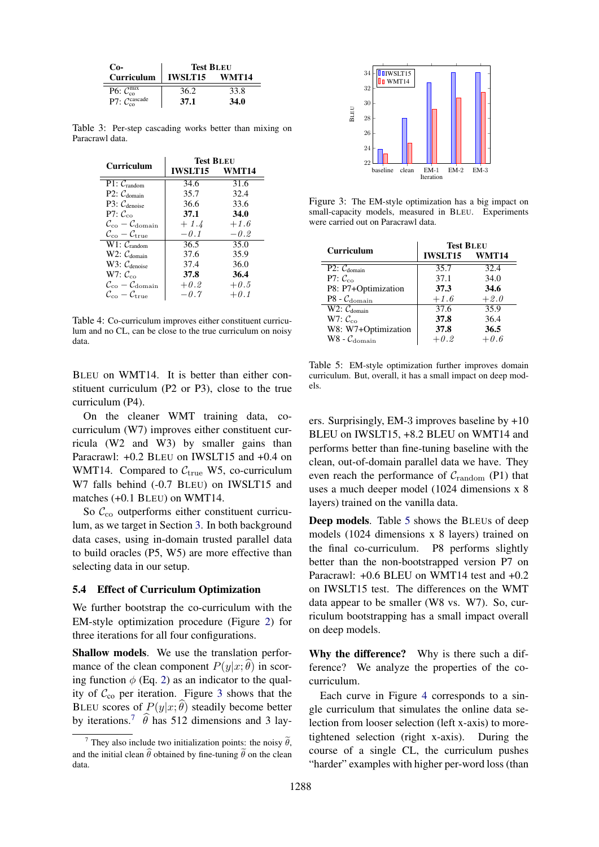<span id="page-6-0"></span>

| Co-                                        | <b>Test BLEU</b> |             |
|--------------------------------------------|------------------|-------------|
| Curriculum                                 | $ $ IWSLT15      | WMT14       |
| P6: $\mathcal{C}_{\text{co}}^{\text{mix}}$ | 36.2             | 33.8        |
| P7: $\mathcal{C}_{\rm co}^{\rm cascade}$   | 37.1             | <b>34.0</b> |

<span id="page-6-1"></span>Table 3: Per-step cascading works better than mixing on Paracrawl data.

| Curriculum                                                                                          | <b>Test BLEU</b> |                   |  |
|-----------------------------------------------------------------------------------------------------|------------------|-------------------|--|
|                                                                                                     | <b>IWSLT15</b>   | WMT14             |  |
| $\overline{P1: C_{random}}$                                                                         | 34.6             | $\overline{31.6}$ |  |
| P2: $C_{domain}$                                                                                    | 35.7             | 32.4              |  |
| $P3:$ $C_{denoise}$                                                                                 | 36.6             | 33.6              |  |
| P7: $\mathcal{C}_{\rm co}$                                                                          | 37.1             | 34.0              |  |
| $\mathcal{C}_{\mathrm{co}}-\mathcal{C}_{\mathrm{domain}}$                                           | $+1.4$           | $+1.6$            |  |
| $\mathcal{C}_{\mathrm{co}}-\mathcal{C}_{\mathrm{true}}$                                             | $-0.1$           | $-0.2$            |  |
| $W1: C_{\text{random}}$                                                                             | 36.5             | 35.0              |  |
| W2: $C_{domain}$                                                                                    | 37.6             | 35.9              |  |
| W3: $C_{\text{denoise}}$                                                                            | 37.4             | 36.0              |  |
| $W7: C_{co}$                                                                                        | 37.8             | 36.4              |  |
| $\mathcal{C}_{\rm co} - \mathcal{C}_{\rm domain}$                                                   | $+0.2$           | $+0.5$            |  |
| $\mathcal{C}_{\scriptscriptstyle{\text{c}} \alpha} - \mathcal{C}_{\scriptscriptstyle{\text{true}}}$ | $-0.7$           | $+0.1$            |  |

Table 4: Co-curriculum improves either constituent curriculum and no CL, can be close to the true curriculum on noisy data.

BLEU on WMT14. It is better than either constituent curriculum (P2 or P3), close to the true curriculum (P4).

On the cleaner WMT training data, cocurriculum (W7) improves either constituent curricula (W2 and W3) by smaller gains than Paracrawl: +0.2 BLEU on IWSLT15 and +0.4 on WMT14. Compared to  $C_{true}$  W5, co-curriculum W7 falls behind (-0.7 BLEU) on IWSLT15 and matches (+0.1 BLEU) on WMT14.

So  $\mathcal{C}_{\text{co}}$  outperforms either constituent curriculum, as we target in Section [3.](#page-2-2) In both background data cases, using in-domain trusted parallel data to build oracles (P5, W5) are more effective than selecting data in our setup.

#### <span id="page-6-5"></span>5.4 Effect of Curriculum Optimization

We further bootstrap the co-curriculum with the EM-style optimization procedure (Figure [2\)](#page-4-0) for three iterations for all four configurations.

Shallow models. We use the translation performance of the clean component  $P(y|x; \theta)$  in scoring function  $\phi$  (Eq. [2\)](#page-1-2) as an indicator to the quality of  $C_{\rm co}$  per iteration. Figure [3](#page-6-2) shows that the BLEU scores of  $P(y|x; \widehat{\theta})$  steadily become better by iterations.<sup>[7](#page-6-3)</sup>  $\hat{\theta}$  has 512 dimensions and 3 lay-

<span id="page-6-2"></span>

Figure 3: The EM-style optimization has a big impact on small-capacity models, measured in BLEU. Experiments were carried out on Paracrawl data.

<span id="page-6-4"></span>

| Curriculum                  | <b>Test BLEU</b>  |        |  |
|-----------------------------|-------------------|--------|--|
|                             | IWSLT15 WMT14     |        |  |
| $\overline{P2: C_{domain}}$ | 35.7              | 32.4   |  |
| P7: $\mathcal{C}_{\rm co}$  | 37.1              | 34.0   |  |
| P8: P7+Optimization         | 37.3              | 34.6   |  |
| P8 - $\mathcal{C}_{domain}$ | $+1.6$            | $+2.0$ |  |
| $W2: \mathcal{C}_{domain}$  | $\overline{37.6}$ | 35.9   |  |
| W7: $\mathcal{C}_{\rm co}$  | 37.8              | 36.4   |  |
| W8: W7+Optimization         | 37.8              | 36.5   |  |
| $W8 - C_{domain}$           | $+0.2$            | $+0.6$ |  |

Table 5: EM-style optimization further improves domain curriculum. But, overall, it has a small impact on deep models.

ers. Surprisingly, EM-3 improves baseline by +10 BLEU on IWSLT15, +8.2 BLEU on WMT14 and performs better than fine-tuning baseline with the clean, out-of-domain parallel data we have. They even reach the performance of  $C_{\text{random}}$  (P1) that uses a much deeper model (1024 dimensions x 8 layers) trained on the vanilla data.

Deep models. Table [5](#page-6-4) shows the BLEUs of deep models (1024 dimensions x 8 layers) trained on the final co-curriculum. P8 performs slightly better than the non-bootstrapped version P7 on Paracrawl: +0.6 BLEU on WMT14 test and +0.2 on IWSLT15 test. The differences on the WMT data appear to be smaller (W8 vs. W7). So, curriculum bootstrapping has a small impact overall on deep models.

Why the difference? Why is there such a difference? We analyze the properties of the cocurriculum.

Each curve in Figure [4](#page-7-0) corresponds to a single curriculum that simulates the online data selection from looser selection (left x-axis) to moretightened selection (right x-axis). During the course of a single CL, the curriculum pushes "harder" examples with higher per-word loss (than

<span id="page-6-3"></span><sup>&</sup>lt;sup>7</sup> They also include two initialization points: the noisy  $\tilde{\theta}$ , and the initial clean  $\hat{\theta}$  obtained by fine-tuning  $\tilde{\theta}$  on the clean data.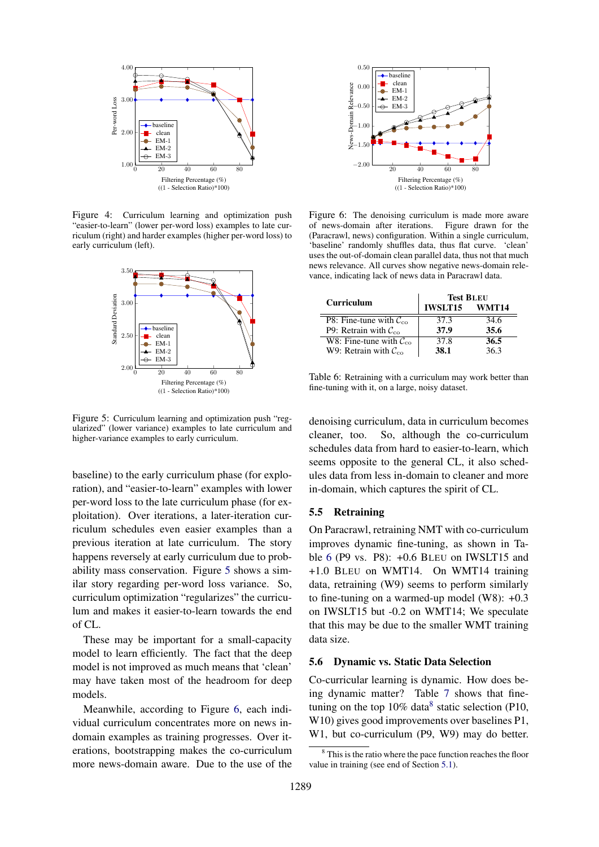<span id="page-7-0"></span>

Figure 4: Curriculum learning and optimization push "easier-to-learn" (lower per-word loss) examples to late curriculum (right) and harder examples (higher per-word loss) to early curriculum (left).

<span id="page-7-1"></span>

Figure 5: Curriculum learning and optimization push "regularized" (lower variance) examples to late curriculum and higher-variance examples to early curriculum.

baseline) to the early curriculum phase (for exploration), and "easier-to-learn" examples with lower per-word loss to the late curriculum phase (for exploitation). Over iterations, a later-iteration curriculum schedules even easier examples than a previous iteration at late curriculum. The story happens reversely at early curriculum due to probability mass conservation. Figure [5](#page-7-1) shows a similar story regarding per-word loss variance. So, curriculum optimization "regularizes" the curriculum and makes it easier-to-learn towards the end of CL.

These may be important for a small-capacity model to learn efficiently. The fact that the deep model is not improved as much means that 'clean' may have taken most of the headroom for deep models.

Meanwhile, according to Figure [6,](#page-7-2) each individual curriculum concentrates more on news indomain examples as training progresses. Over iterations, bootstrapping makes the co-curriculum more news-domain aware. Due to the use of the

<span id="page-7-2"></span>

Figure 6: The denoising curriculum is made more aware of news-domain after iterations. Figure drawn for the of news-domain after iterations. (Paracrawl, news) configuration. Within a single curriculum, 'baseline' randomly shuffles data, thus flat curve. 'clean' uses the out-of-domain clean parallel data, thus not that much news relevance. All curves show negative news-domain relevance, indicating lack of news data in Paracrawl data.

<span id="page-7-3"></span>

|                                           | <b>Test BLEU</b> |       |  |
|-------------------------------------------|------------------|-------|--|
| Curriculum                                | <b>IWSLT15</b>   | WMT14 |  |
| P8: Fine-tune with $\mathcal{C}_{\infty}$ | 37.3             | 34.6  |  |
| P9: Retrain with $C_{\rm co}$             | 37.9             | 35.6  |  |
| W8: Fine-tune with $C_{\rm co}$           | 37.8             | 36.5  |  |
| W9: Retrain with $\mathcal{C}_{\infty}$   | 38.1             | 36.3  |  |

Table 6: Retraining with a curriculum may work better than fine-tuning with it, on a large, noisy dataset.

denoising curriculum, data in curriculum becomes cleaner, too. So, although the co-curriculum schedules data from hard to easier-to-learn, which seems opposite to the general CL, it also schedules data from less in-domain to cleaner and more in-domain, which captures the spirit of CL.

## 5.5 Retraining

On Paracrawl, retraining NMT with co-curriculum improves dynamic fine-tuning, as shown in Table [6](#page-7-3) (P9 vs. P8): +0.6 BLEU on IWSLT15 and +1.0 BLEU on WMT14. On WMT14 training data, retraining (W9) seems to perform similarly to fine-tuning on a warmed-up model (W8): +0.3 on IWSLT15 but -0.2 on WMT14; We speculate that this may be due to the smaller WMT training data size.

### 5.6 Dynamic vs. Static Data Selection

Co-curricular learning is dynamic. How does being dynamic matter? Table [7](#page-8-0) shows that finetuning on the top  $10\%$  data<sup>[8](#page-7-4)</sup> static selection (P10, W10) gives good improvements over baselines P1, W1, but co-curriculum (P9, W9) may do better.

<span id="page-7-4"></span><sup>&</sup>lt;sup>8</sup> This is the ratio where the pace function reaches the floor value in training (see end of Section [5.1\)](#page-4-4).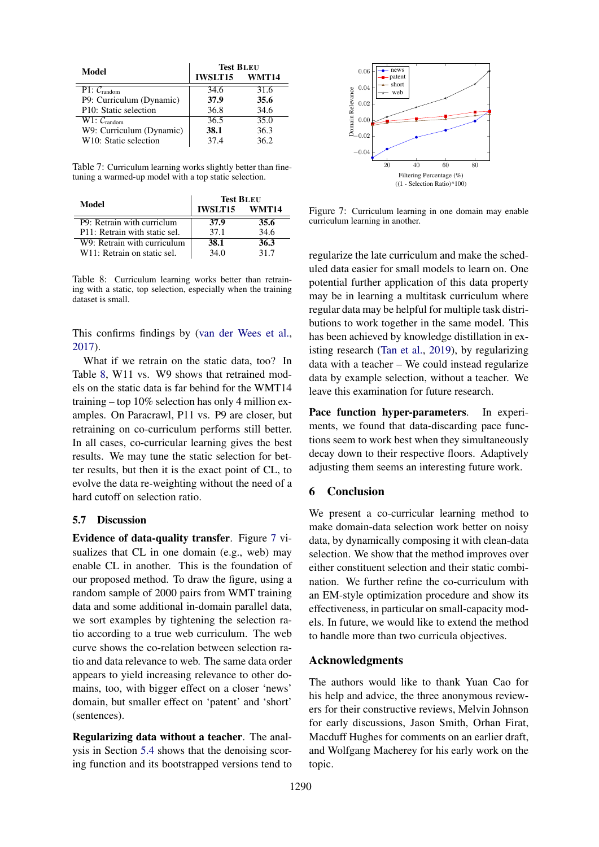<span id="page-8-0"></span>

| Model                                    | <b>Test BLEU</b> |       |  |
|------------------------------------------|------------------|-------|--|
|                                          | <b>IWSLT15</b>   | WMT14 |  |
| $\overline{P}$ 1: $\mathcal{C}_{random}$ | 34.6             | 31.6  |  |
| P9: Curriculum (Dynamic)                 | 37.9             | 35.6  |  |
| P10: Static selection                    | 36.8             | 34.6  |  |
| $W1: C_{random}$                         | 36.5             | 35.0  |  |
| W9: Curriculum (Dynamic)                 | 38.1             | 36.3  |  |
| W10: Static selection                    | 37.4             | 36.2  |  |

Table 7: Curriculum learning works slightly better than finetuning a warmed-up model with a top static selection.

<span id="page-8-1"></span>

| Model                         | <b>Test BLEU</b> |       |  |
|-------------------------------|------------------|-------|--|
|                               | <b>IWSLT15</b>   | WMT14 |  |
| P9: Retrain with curriclum    | 37.9             | 35.6  |  |
| P11: Retrain with static sel. | 37.1             | 34.6  |  |
| W9: Retrain with curriculum   | 38.1             | 36.3  |  |
| W11: Retrain on static sel.   | 34.0             | 317   |  |

Table 8: Curriculum learning works better than retraining with a static, top selection, especially when the training dataset is small.

This confirms findings by [\(van der Wees et al.,](#page-10-0) [2017\)](#page-10-0).

What if we retrain on the static data, too? In Table [8,](#page-8-1) W11 vs. W9 shows that retrained models on the static data is far behind for the WMT14 training – top 10% selection has only 4 million examples. On Paracrawl, P11 vs. P9 are closer, but retraining on co-curriculum performs still better. In all cases, co-curricular learning gives the best results. We may tune the static selection for better results, but then it is the exact point of CL, to evolve the data re-weighting without the need of a hard cutoff on selection ratio.

### 5.7 Discussion

Evidence of data-quality transfer. Figure [7](#page-8-2) visualizes that CL in one domain (e.g., web) may enable CL in another. This is the foundation of our proposed method. To draw the figure, using a random sample of 2000 pairs from WMT training data and some additional in-domain parallel data, we sort examples by tightening the selection ratio according to a true web curriculum. The web curve shows the co-relation between selection ratio and data relevance to web. The same data order appears to yield increasing relevance to other domains, too, with bigger effect on a closer 'news' domain, but smaller effect on 'patent' and 'short' (sentences).

Regularizing data without a teacher. The analysis in Section [5.4](#page-6-5) shows that the denoising scoring function and its bootstrapped versions tend to

<span id="page-8-2"></span>

Figure 7: Curriculum learning in one domain may enable curriculum learning in another.

regularize the late curriculum and make the scheduled data easier for small models to learn on. One potential further application of this data property may be in learning a multitask curriculum where regular data may be helpful for multiple task distributions to work together in the same model. This has been achieved by knowledge distillation in existing research [\(Tan et al.,](#page-10-8) [2019\)](#page-10-8), by regularizing data with a teacher – We could instead regularize data by example selection, without a teacher. We leave this examination for future research.

Pace function hyper-parameters. In experiments, we found that data-discarding pace functions seem to work best when they simultaneously decay down to their respective floors. Adaptively adjusting them seems an interesting future work.

## 6 Conclusion

We present a co-curricular learning method to make domain-data selection work better on noisy data, by dynamically composing it with clean-data selection. We show that the method improves over either constituent selection and their static combination. We further refine the co-curriculum with an EM-style optimization procedure and show its effectiveness, in particular on small-capacity models. In future, we would like to extend the method to handle more than two curricula objectives.

#### Acknowledgments

The authors would like to thank Yuan Cao for his help and advice, the three anonymous reviewers for their constructive reviews, Melvin Johnson for early discussions, Jason Smith, Orhan Firat, Macduff Hughes for comments on an earlier draft, and Wolfgang Macherey for his early work on the topic.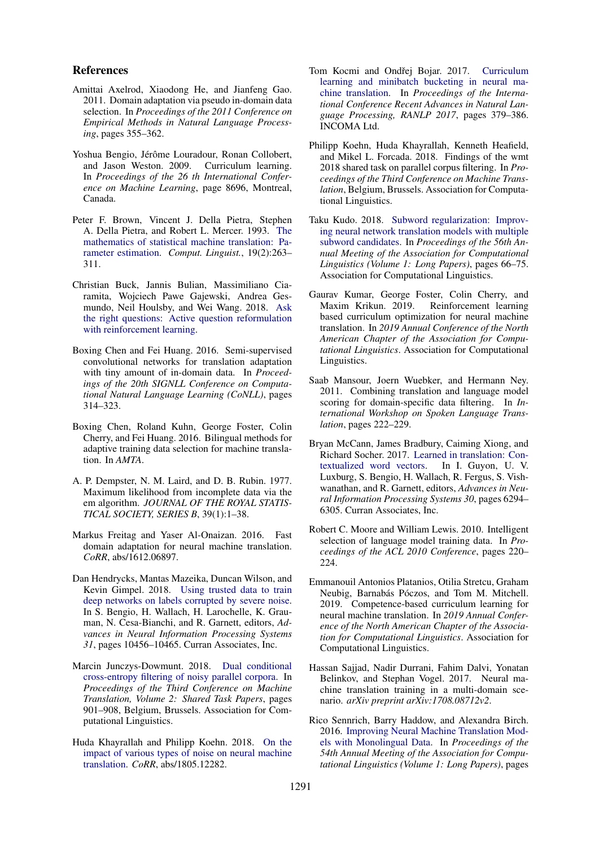### References

- <span id="page-9-2"></span>Amittai Axelrod, Xiaodong He, and Jianfeng Gao. 2011. Domain adaptation via pseudo in-domain data selection. In *Proceedings of the 2011 Conference on Empirical Methods in Natural Language Processing*, pages 355–362.
- <span id="page-9-10"></span>Yoshua Bengio, Jérôme Louradour, Ronan Collobert, and Jason Weston. 2009. Curriculum learning. In *Proceedings of the 26 th International Conference on Machine Learning*, page 8696, Montreal, Canada.
- <span id="page-9-17"></span>Peter F. Brown, Vincent J. Della Pietra, Stephen A. Della Pietra, and Robert L. Mercer. 1993. [The](http://dl.acm.org/citation.cfm?id=972470.972474) [mathematics of statistical machine translation: Pa](http://dl.acm.org/citation.cfm?id=972470.972474)[rameter estimation.](http://dl.acm.org/citation.cfm?id=972470.972474) *Comput. Linguist.*, 19(2):263– 311.
- <span id="page-9-0"></span>Christian Buck, Jannis Bulian, Massimiliano Ciaramita, Wojciech Pawe Gajewski, Andrea Gesmundo, Neil Houlsby, and Wei Wang. 2018. [Ask](https://openreview.net/pdf?id=S1CChZ-CZ) [the right questions: Active question reformulation](https://openreview.net/pdf?id=S1CChZ-CZ) [with reinforcement learning.](https://openreview.net/pdf?id=S1CChZ-CZ)
- <span id="page-9-7"></span>Boxing Chen and Fei Huang. 2016. Semi-supervised convolutional networks for translation adaptation with tiny amount of in-domain data. In *Proceedings of the 20th SIGNLL Conference on Computational Natural Language Learning (CoNLL)*, pages 314–323.
- <span id="page-9-8"></span>Boxing Chen, Roland Kuhn, George Foster, Colin Cherry, and Fei Huang. 2016. Bilingual methods for adaptive training data selection for machine translation. In *AMTA*.
- <span id="page-9-19"></span>A. P. Dempster, N. M. Laird, and D. B. Rubin. 1977. Maximum likelihood from incomplete data via the em algorithm. *JOURNAL OF THE ROYAL STATIS-TICAL SOCIETY, SERIES B*, 39(1):1–38.
- <span id="page-9-12"></span>Markus Freitag and Yaser Al-Onaizan. 2016. Fast domain adaptation for neural machine translation. *CoRR*, abs/1612.06897.
- <span id="page-9-5"></span>Dan Hendrycks, Mantas Mazeika, Duncan Wilson, and Kevin Gimpel. 2018. [Using trusted data to train](http://papers.nips.cc/paper/8246-using-trusted-data-to-train-deep-networks-on-labels-corrupted-by-severe-noise.pdf) [deep networks on labels corrupted by severe noise.](http://papers.nips.cc/paper/8246-using-trusted-data-to-train-deep-networks-on-labels-corrupted-by-severe-noise.pdf) In S. Bengio, H. Wallach, H. Larochelle, K. Grauman, N. Cesa-Bianchi, and R. Garnett, editors, *Advances in Neural Information Processing Systems 31*, pages 10456–10465. Curran Associates, Inc.
- <span id="page-9-9"></span>Marcin Junczys-Dowmunt. 2018. [Dual conditional](http://www.aclweb.org/anthology/W18-6479) [cross-entropy filtering of noisy parallel corpora.](http://www.aclweb.org/anthology/W18-6479) In *Proceedings of the Third Conference on Machine Translation, Volume 2: Shared Task Papers*, pages 901–908, Belgium, Brussels. Association for Computational Linguistics.
- <span id="page-9-3"></span>Huda Khayrallah and Philipp Koehn. 2018. [On the](http://arxiv.org/abs/1805.12282) [impact of various types of noise on neural machine](http://arxiv.org/abs/1805.12282) [translation.](http://arxiv.org/abs/1805.12282) *CoRR*, abs/1805.12282.
- <span id="page-9-13"></span>Tom Kocmi and Ondřej Bojar. 2017. [Curriculum](https://doi.org/10.26615/978-954-452-049-6_050) [learning and minibatch bucketing in neural ma](https://doi.org/10.26615/978-954-452-049-6_050)[chine translation.](https://doi.org/10.26615/978-954-452-049-6_050) In *Proceedings of the International Conference Recent Advances in Natural Language Processing, RANLP 2017*, pages 379–386. INCOMA Ltd.
- <span id="page-9-4"></span>Philipp Koehn, Huda Khayrallah, Kenneth Heafield, and Mikel L. Forcada. 2018. Findings of the wmt 2018 shared task on parallel corpus filtering. In *Proceedings of the Third Conference on Machine Translation*, Belgium, Brussels. Association for Computational Linguistics.
- <span id="page-9-20"></span>Taku Kudo. 2018. [Subword regularization: Improv](http://aclweb.org/anthology/P18-1007)[ing neural network translation models with multiple](http://aclweb.org/anthology/P18-1007) [subword candidates.](http://aclweb.org/anthology/P18-1007) In *Proceedings of the 56th Annual Meeting of the Association for Computational Linguistics (Volume 1: Long Papers)*, pages 66–75. Association for Computational Linguistics.
- <span id="page-9-14"></span>Gaurav Kumar, George Foster, Colin Cherry, and Maxim Krikun. 2019. Reinforcement learning based curriculum optimization for neural machine translation. In *2019 Annual Conference of the North American Chapter of the Association for Computational Linguistics*. Association for Computational Linguistics.
- <span id="page-9-16"></span>Saab Mansour, Joern Wuebker, and Hermann Ney. 2011. Combining translation and language model scoring for domain-specific data filtering. In *International Workshop on Spoken Language Translation*, pages 222–229.
- <span id="page-9-1"></span>Bryan McCann, James Bradbury, Caiming Xiong, and Richard Socher. 2017. [Learned in translation: Con](http://papers.nips.cc/paper/7209-learned-in-translation-contextualized-word-vectors.pdf)[textualized word vectors.](http://papers.nips.cc/paper/7209-learned-in-translation-contextualized-word-vectors.pdf) In I. Guyon, U. V. Luxburg, S. Bengio, H. Wallach, R. Fergus, S. Vishwanathan, and R. Garnett, editors, *Advances in Neural Information Processing Systems 30*, pages 6294– 6305. Curran Associates, Inc.
- <span id="page-9-6"></span>Robert C. Moore and William Lewis. 2010. Intelligent selection of language model training data. In *Proceedings of the ACL 2010 Conference*, pages 220–  $224$
- <span id="page-9-15"></span>Emmanouil Antonios Platanios, Otilia Stretcu, Graham Neubig, Barnabás Póczos, and Tom M. Mitchell. 2019. Competence-based curriculum learning for neural machine translation. In *2019 Annual Conference of the North American Chapter of the Association for Computational Linguistics*. Association for Computational Linguistics.
- <span id="page-9-11"></span>Hassan Sajjad, Nadir Durrani, Fahim Dalvi, Yonatan Belinkov, and Stephan Vogel. 2017. Neural machine translation training in a multi-domain scenario. *arXiv preprint arXiv:1708.08712v2*.
- <span id="page-9-18"></span>Rico Sennrich, Barry Haddow, and Alexandra Birch. 2016. [Improving Neural Machine Translation Mod](http://www.aclweb.org/anthology/P16-1009.pdf)[els with Monolingual Data.](http://www.aclweb.org/anthology/P16-1009.pdf) In *Proceedings of the 54th Annual Meeting of the Association for Computational Linguistics (Volume 1: Long Papers)*, pages